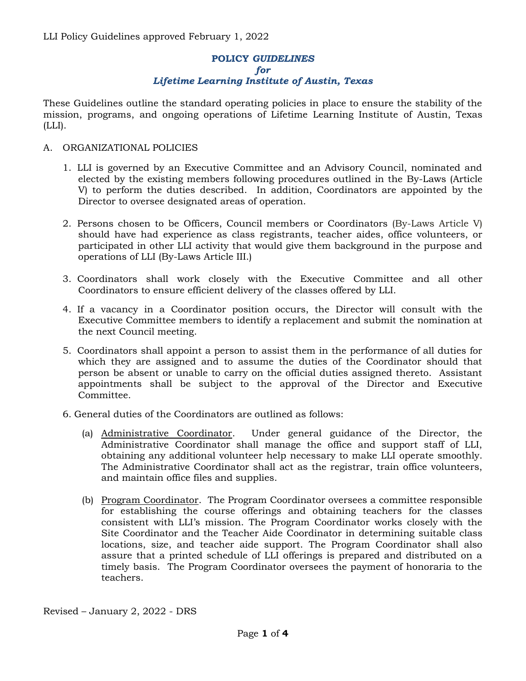# **POLICY** *GUIDELINES for Lifetime Learning Institute of Austin, Texas*

These Guidelines outline the standard operating policies in place to ensure the stability of the mission, programs, and ongoing operations of Lifetime Learning Institute of Austin, Texas  $(LLI).$ 

## A. ORGANIZATIONAL POLICIES

- 1. LLI is governed by an Executive Committee and an Advisory Council, nominated and elected by the existing members following procedures outlined in the By-Laws (Article V) to perform the duties described. In addition, Coordinators are appointed by the Director to oversee designated areas of operation.
- 2. Persons chosen to be Officers, Council members or Coordinators (By-Laws Article V) should have had experience as class registrants, teacher aides, office volunteers, or participated in other LLI activity that would give them background in the purpose and operations of LLI (By-Laws Article III.)
- 3. Coordinators shall work closely with the Executive Committee and all other Coordinators to ensure efficient delivery of the classes offered by LLI.
- 4. If a vacancy in a Coordinator position occurs, the Director will consult with the Executive Committee members to identify a replacement and submit the nomination at the next Council meeting.
- 5. Coordinators shall appoint a person to assist them in the performance of all duties for which they are assigned and to assume the duties of the Coordinator should that person be absent or unable to carry on the official duties assigned thereto. Assistant appointments shall be subject to the approval of the Director and Executive Committee.
- 6. General duties of the Coordinators are outlined as follows:
	- (a) Administrative Coordinator. Under general guidance of the Director, the Administrative Coordinator shall manage the office and support staff of LLI, obtaining any additional volunteer help necessary to make LLI operate smoothly. The Administrative Coordinator shall act as the registrar, train office volunteers, and maintain office files and supplies.
	- (b) Program Coordinator. The Program Coordinator oversees a committee responsible for establishing the course offerings and obtaining teachers for the classes consistent with LLI's mission. The Program Coordinator works closely with the Site Coordinator and the Teacher Aide Coordinator in determining suitable class locations, size, and teacher aide support. The Program Coordinator shall also assure that a printed schedule of LLI offerings is prepared and distributed on a timely basis. The Program Coordinator oversees the payment of honoraria to the teachers.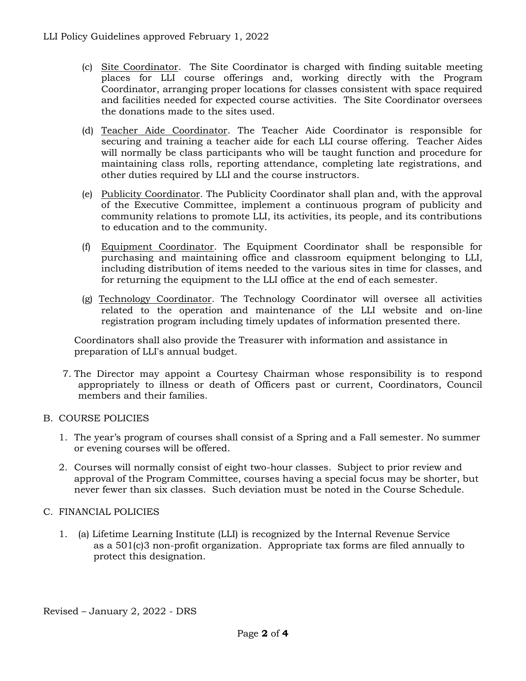- (c) Site Coordinator. The Site Coordinator is charged with finding suitable meeting places for LLI course offerings and, working directly with the Program Coordinator, arranging proper locations for classes consistent with space required and facilities needed for expected course activities. The Site Coordinator oversees the donations made to the sites used.
- (d) Teacher Aide Coordinator. The Teacher Aide Coordinator is responsible for securing and training a teacher aide for each LLI course offering. Teacher Aides will normally be class participants who will be taught function and procedure for maintaining class rolls, reporting attendance, completing late registrations, and other duties required by LLI and the course instructors.
- (e) Publicity Coordinator. The Publicity Coordinator shall plan and, with the approval of the Executive Committee, implement a continuous program of publicity and community relations to promote LLI, its activities, its people, and its contributions to education and to the community.
- (f) Equipment Coordinator. The Equipment Coordinator shall be responsible for purchasing and maintaining office and classroom equipment belonging to LLI, including distribution of items needed to the various sites in time for classes, and for returning the equipment to the LLI office at the end of each semester.
- (g) Technology Coordinator. The Technology Coordinator will oversee all activities related to the operation and maintenance of the LLI website and on-line registration program including timely updates of information presented there.

Coordinators shall also provide the Treasurer with information and assistance in preparation of LLI's annual budget.

7. The Director may appoint a Courtesy Chairman whose responsibility is to respond appropriately to illness or death of Officers past or current, Coordinators, Council members and their families.

### B. COURSE POLICIES

- 1. The year's program of courses shall consist of a Spring and a Fall semester. No summer or evening courses will be offered.
- 2. Courses will normally consist of eight two-hour classes. Subject to prior review and approval of the Program Committee, courses having a special focus may be shorter, but never fewer than six classes. Such deviation must be noted in the Course Schedule.

### C. FINANCIAL POLICIES

1. (a) Lifetime Learning Institute (LLI) is recognized by the Internal Revenue Service as a 501(c)3 non-profit organization. Appropriate tax forms are filed annually to protect this designation.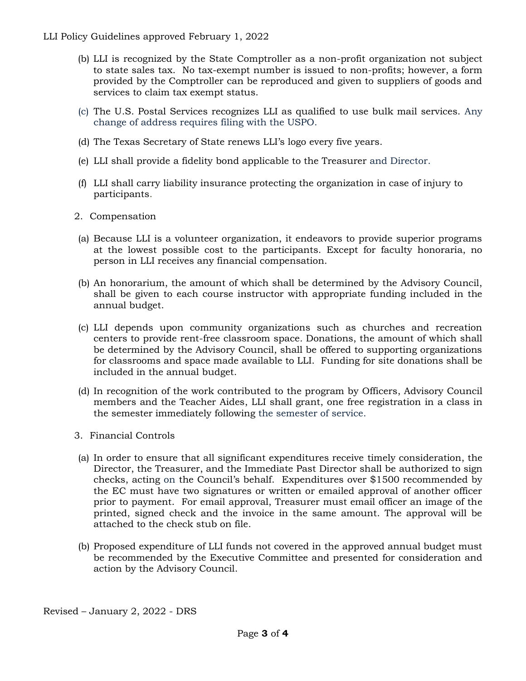LLI Policy Guidelines approved February 1, 2022

- (b) LLI is recognized by the State Comptroller as a non-profit organization not subject to state sales tax. No tax-exempt number is issued to non-profits; however, a form provided by the Comptroller can be reproduced and given to suppliers of goods and services to claim tax exempt status.
- (c) The U.S. Postal Services recognizes LLI as qualified to use bulk mail services. Any change of address requires filing with the USPO.
- (d) The Texas Secretary of State renews LLI's logo every five years.
- (e) LLI shall provide a fidelity bond applicable to the Treasurer and Director.
- (f) LLI shall carry liability insurance protecting the organization in case of injury to participants.
- 2. Compensation
- (a) Because LLI is a volunteer organization, it endeavors to provide superior programs at the lowest possible cost to the participants. Except for faculty honoraria, no person in LLI receives any financial compensation.
- (b) An honorarium, the amount of which shall be determined by the Advisory Council, shall be given to each course instructor with appropriate funding included in the annual budget.
- (c) LLI depends upon community organizations such as churches and recreation centers to provide rent-free classroom space*.* Donations, the amount of which shall be determined by the Advisory Council, shall be offered to supporting organizations for classrooms and space made available to LLI. Funding for site donations shall be included in the annual budget.
- (d) In recognition of the work contributed to the program by Officers, Advisory Council members and the Teacher Aides, LLI shall grant, one free registration in a class in the semester immediately following the semester of service.
- 3. Financial Controls
- (a) In order to ensure that all significant expenditures receive timely consideration, the Director, the Treasurer, and the Immediate Past Director shall be authorized to sign checks, acting on the Council's behalf. Expenditures over \$1500 recommended by the EC must have two signatures or written or emailed approval of another officer prior to payment. For email approval, Treasurer must email officer an image of the printed, signed check and the invoice in the same amount. The approval will be attached to the check stub on file.
- (b) Proposed expenditure of LLI funds not covered in the approved annual budget must be recommended by the Executive Committee and presented for consideration and action by the Advisory Council.